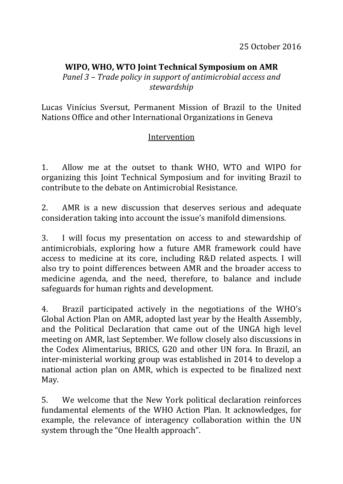## **WIPO, WHO, WTO Joint Technical Symposium on AMR**

*Panel 3 – Trade policy in support of antimicrobial access and stewardship*

Lucas Vinícius Sversut, Permanent Mission of Brazil to the United Nations Office and other International Organizations in Geneva

## Intervention

1. Allow me at the outset to thank WHO, WTO and WIPO for organizing this Joint Technical Symposium and for inviting Brazil to contribute to the debate on Antimicrobial Resistance.

2. AMR is a new discussion that deserves serious and adequate consideration taking into account the issue's manifold dimensions.

3. I will focus my presentation on access to and stewardship of antimicrobials, exploring how a future AMR framework could have access to medicine at its core, including R&D related aspects. I will also try to point differences between AMR and the broader access to medicine agenda, and the need, therefore, to balance and include safeguards for human rights and development.

4. Brazil participated actively in the negotiations of the WHO's Global Action Plan on AMR, adopted last year by the Health Assembly, and the Political Declaration that came out of the UNGA high level meeting on AMR, last September. We follow closely also discussions in the Codex Alimentarius, BRICS, G20 and other UN fora. In Brazil, an inter-ministerial working group was established in 2014 to develop a national action plan on AMR, which is expected to be finalized next May.

5. We welcome that the New York political declaration reinforces fundamental elements of the WHO Action Plan. It acknowledges, for example, the relevance of interagency collaboration within the UN system through the "One Health approach".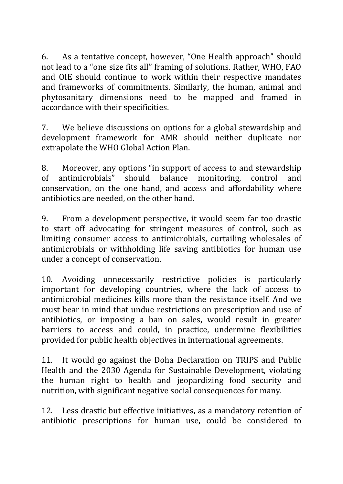6. As a tentative concept, however, "One Health approach" should not lead to a "one size fits all" framing of solutions. Rather, WHO, FAO and OIE should continue to work within their respective mandates and frameworks of commitments. Similarly, the human, animal and phytosanitary dimensions need to be mapped and framed in accordance with their specificities.

7. We believe discussions on options for a global stewardship and development framework for AMR should neither duplicate nor extrapolate the WHO Global Action Plan.

8. Moreover, any options "in support of access to and stewardship of antimicrobials" should balance monitoring, control and conservation, on the one hand, and access and affordability where antibiotics are needed, on the other hand.

9. From a development perspective, it would seem far too drastic to start off advocating for stringent measures of control, such as limiting consumer access to antimicrobials, curtailing wholesales of antimicrobials or withholding life saving antibiotics for human use under a concept of conservation.

10. Avoiding unnecessarily restrictive policies is particularly important for developing countries, where the lack of access to antimicrobial medicines kills more than the resistance itself. And we must bear in mind that undue restrictions on prescription and use of antibiotics, or imposing a ban on sales, would result in greater barriers to access and could, in practice, undermine flexibilities provided for public health objectives in international agreements.

11. It would go against the Doha Declaration on TRIPS and Public Health and the 2030 Agenda for Sustainable Development, violating the human right to health and jeopardizing food security and nutrition, with significant negative social consequences for many.

12. Less drastic but effective initiatives, as a mandatory retention of antibiotic prescriptions for human use, could be considered to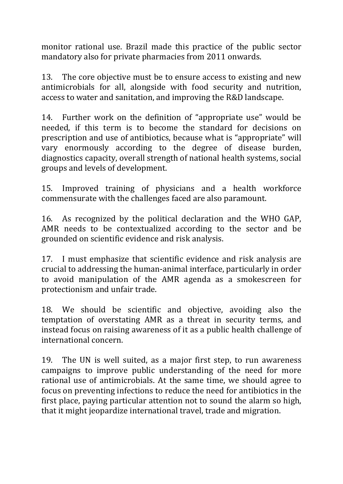monitor rational use. Brazil made this practice of the public sector mandatory also for private pharmacies from 2011 onwards.

13. The core objective must be to ensure access to existing and new antimicrobials for all, alongside with food security and nutrition, access to water and sanitation, and improving the R&D landscape.

14. Further work on the definition of "appropriate use" would be needed, if this term is to become the standard for decisions on prescription and use of antibiotics, because what is "appropriate" will vary enormously according to the degree of disease burden, diagnostics capacity, overall strength of national health systems, social groups and levels of development.

15. Improved training of physicians and a health workforce commensurate with the challenges faced are also paramount.

16. As recognized by the political declaration and the WHO GAP, AMR needs to be contextualized according to the sector and be grounded on scientific evidence and risk analysis.

17. I must emphasize that scientific evidence and risk analysis are crucial to addressing the human-animal interface, particularly in order to avoid manipulation of the AMR agenda as a smokescreen for protectionism and unfair trade.

18. We should be scientific and objective, avoiding also the temptation of overstating AMR as a threat in security terms, and instead focus on raising awareness of it as a public health challenge of international concern.

19. The UN is well suited, as a major first step, to run awareness campaigns to improve public understanding of the need for more rational use of antimicrobials. At the same time, we should agree to focus on preventing infections to reduce the need for antibiotics in the first place, paying particular attention not to sound the alarm so high, that it might jeopardize international travel, trade and migration.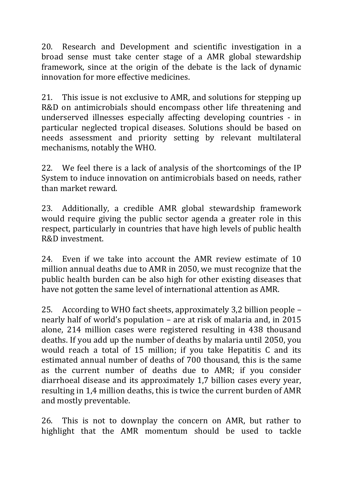20. Research and Development and scientific investigation in a broad sense must take center stage of a AMR global stewardship framework, since at the origin of the debate is the lack of dynamic innovation for more effective medicines.

21. This issue is not exclusive to AMR, and solutions for stepping up R&D on antimicrobials should encompass other life threatening and underserved illnesses especially affecting developing countries - in particular neglected tropical diseases. Solutions should be based on needs assessment and priority setting by relevant multilateral mechanisms, notably the WHO.

22. We feel there is a lack of analysis of the shortcomings of the IP System to induce innovation on antimicrobials based on needs, rather than market reward.

23. Additionally, a credible AMR global stewardship framework would require giving the public sector agenda a greater role in this respect, particularly in countries that have high levels of public health R&D investment.

24. Even if we take into account the AMR review estimate of 10 million annual deaths due to AMR in 2050, we must recognize that the public health burden can be also high for other existing diseases that have not gotten the same level of international attention as AMR.

25. According to WHO fact sheets, approximately 3,2 billion people – nearly half of world's population – are at risk of malaria and, in 2015 alone, 214 million cases were registered resulting in 438 thousand deaths. If you add up the number of deaths by malaria until 2050, you would reach a total of 15 million; if you take Hepatitis C and its estimated annual number of deaths of 700 thousand, this is the same as the current number of deaths due to AMR; if you consider diarrhoeal disease and its approximately 1,7 billion cases every year, resulting in 1,4 million deaths, this is twice the current burden of AMR and mostly preventable.

26. This is not to downplay the concern on AMR, but rather to highlight that the AMR momentum should be used to tackle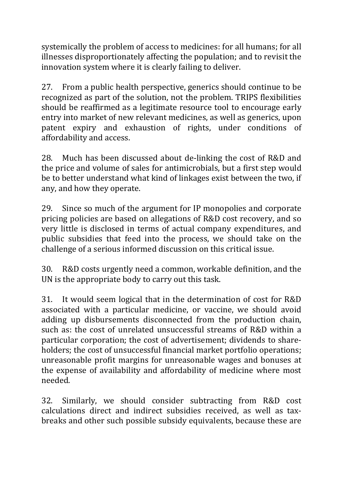systemically the problem of access to medicines: for all humans; for all illnesses disproportionately affecting the population; and to revisit the innovation system where it is clearly failing to deliver.

27. From a public health perspective, generics should continue to be recognized as part of the solution, not the problem. TRIPS flexibilities should be reaffirmed as a legitimate resource tool to encourage early entry into market of new relevant medicines, as well as generics, upon patent expiry and exhaustion of rights, under conditions of affordability and access.

28. Much has been discussed about de-linking the cost of R&D and the price and volume of sales for antimicrobials, but a first step would be to better understand what kind of linkages exist between the two, if any, and how they operate.

29. Since so much of the argument for IP monopolies and corporate pricing policies are based on allegations of R&D cost recovery, and so very little is disclosed in terms of actual company expenditures, and public subsidies that feed into the process, we should take on the challenge of a serious informed discussion on this critical issue.

30. R&D costs urgently need a common, workable definition, and the UN is the appropriate body to carry out this task.

31. It would seem logical that in the determination of cost for R&D associated with a particular medicine, or vaccine, we should avoid adding up disbursements disconnected from the production chain, such as: the cost of unrelated unsuccessful streams of R&D within a particular corporation; the cost of advertisement; dividends to shareholders; the cost of unsuccessful financial market portfolio operations; unreasonable profit margins for unreasonable wages and bonuses at the expense of availability and affordability of medicine where most needed.

32. Similarly, we should consider subtracting from R&D cost calculations direct and indirect subsidies received, as well as taxbreaks and other such possible subsidy equivalents, because these are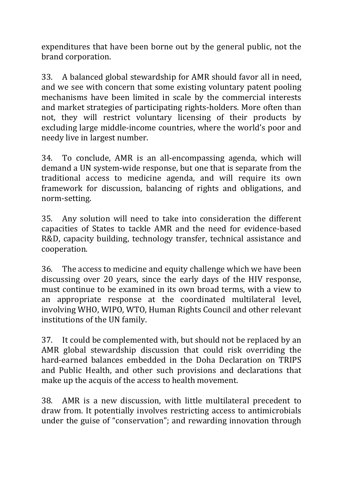expenditures that have been borne out by the general public, not the brand corporation.

33. A balanced global stewardship for AMR should favor all in need, and we see with concern that some existing voluntary patent pooling mechanisms have been limited in scale by the commercial interests and market strategies of participating rights-holders. More often than not, they will restrict voluntary licensing of their products by excluding large middle-income countries, where the world's poor and needy live in largest number.

34. To conclude, AMR is an all-encompassing agenda, which will demand a UN system-wide response, but one that is separate from the traditional access to medicine agenda, and will require its own framework for discussion, balancing of rights and obligations, and norm-setting.

35. Any solution will need to take into consideration the different capacities of States to tackle AMR and the need for evidence-based R&D, capacity building, technology transfer, technical assistance and cooperation.

36. The access to medicine and equity challenge which we have been discussing over 20 years, since the early days of the HIV response, must continue to be examined in its own broad terms, with a view to an appropriate response at the coordinated multilateral level, involving WHO, WIPO, WTO, Human Rights Council and other relevant institutions of the UN family.

37. It could be complemented with, but should not be replaced by an AMR global stewardship discussion that could risk overriding the hard-earned balances embedded in the Doha Declaration on TRIPS and Public Health, and other such provisions and declarations that make up the acquis of the access to health movement.

38. AMR is a new discussion, with little multilateral precedent to draw from. It potentially involves restricting access to antimicrobials under the guise of "conservation"; and rewarding innovation through